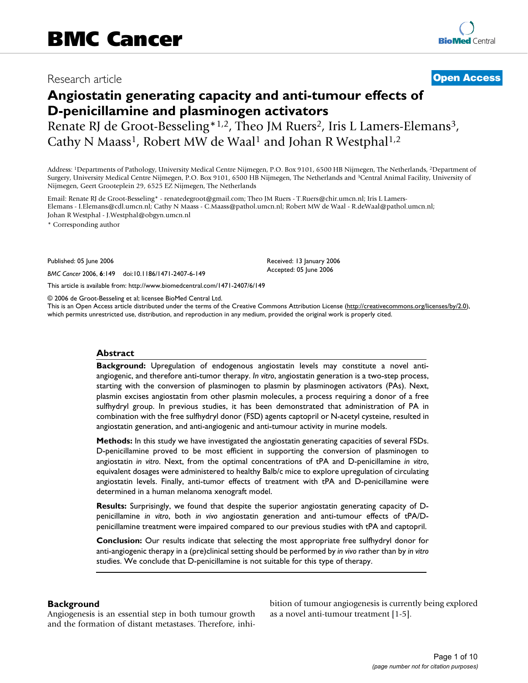# Research article **[Open Access](http://www.biomedcentral.com/info/about/charter/)**

# **Angiostatin generating capacity and anti-tumour effects of D-penicillamine and plasminogen activators**

Renate RJ de Groot-Besseling \* 1,2, Theo JM Ruers<sup>2</sup>, Iris L Lamers-Elemans<sup>3</sup>, Cathy N Maass<sup>1</sup>, Robert MW de Waal<sup>1</sup> and Johan R Westphal<sup>1,2</sup>

Address: 1Departments of Pathology, University Medical Centre Nijmegen, P.O. Box 9101, 6500 HB Nijmegen, The Netherlands, 2Department of Surgery, University Medical Centre Nijmegen, P.O. Box 9101, 6500 HB Nijmegen, The Netherlands and 3Central Animal Facility, University of Nijmegen, Geert Grooteplein 29, 6525 EZ Nijmegen, The Netherlands

Email: Renate RJ de Groot-Besseling\* - renatedegroot@gmail.com; Theo JM Ruers - T.Ruers@chir.umcn.nl; Iris L Lamers-Elemans - I.Elemans@cdl.umcn.nl; Cathy N Maass - C.Maass@pathol.umcn.nl; Robert MW de Waal - R.deWaal@pathol.umcn.nl; Johan R Westphal - J.Westphal@obgyn.umcn.nl

\* Corresponding author

Published: 05 June 2006

*BMC Cancer* 2006, **6**:149 doi:10.1186/1471-2407-6-149

[This article is available from: http://www.biomedcentral.com/1471-2407/6/149](http://www.biomedcentral.com/1471-2407/6/149)

© 2006 de Groot-Besseling et al; licensee BioMed Central Ltd.

This is an Open Access article distributed under the terms of the Creative Commons Attribution License [\(http://creativecommons.org/licenses/by/2.0\)](http://creativecommons.org/licenses/by/2.0), which permits unrestricted use, distribution, and reproduction in any medium, provided the original work is properly cited.

Received: 13 January 2006 Accepted: 05 June 2006

#### **Abstract**

**Background:** Upregulation of endogenous angiostatin levels may constitute a novel antiangiogenic, and therefore anti-tumor therapy. *In vitro*, angiostatin generation is a two-step process, starting with the conversion of plasminogen to plasmin by plasminogen activators (PAs). Next, plasmin excises angiostatin from other plasmin molecules, a process requiring a donor of a free sulfhydryl group. In previous studies, it has been demonstrated that administration of PA in combination with the free sulfhydryl donor (FSD) agents captopril or N-acetyl cysteine, resulted in angiostatin generation, and anti-angiogenic and anti-tumour activity in murine models.

**Methods:** In this study we have investigated the angiostatin generating capacities of several FSDs. D-penicillamine proved to be most efficient in supporting the conversion of plasminogen to angiostatin *in vitro*. Next, from the optimal concentrations of tPA and D-penicillamine *in vitro*, equivalent dosages were administered to healthy Balb/c mice to explore upregulation of circulating angiostatin levels. Finally, anti-tumor effects of treatment with tPA and D-penicillamine were determined in a human melanoma xenograft model.

**Results:** Surprisingly, we found that despite the superior angiostatin generating capacity of Dpenicillamine *in vitro*, both *in vivo* angiostatin generation and anti-tumour effects of tPA/Dpenicillamine treatment were impaired compared to our previous studies with tPA and captopril.

**Conclusion:** Our results indicate that selecting the most appropriate free sulfhydryl donor for anti-angiogenic therapy in a (pre)clinical setting should be performed by *in vivo* rather than by *in vitro* studies. We conclude that D-penicillamine is not suitable for this type of therapy.

# **Background**

Angiogenesis is an essential step in both tumour growth and the formation of distant metastases. Therefore, inhibition of tumour angiogenesis is currently being explored as a novel anti-tumour treatment [1-5].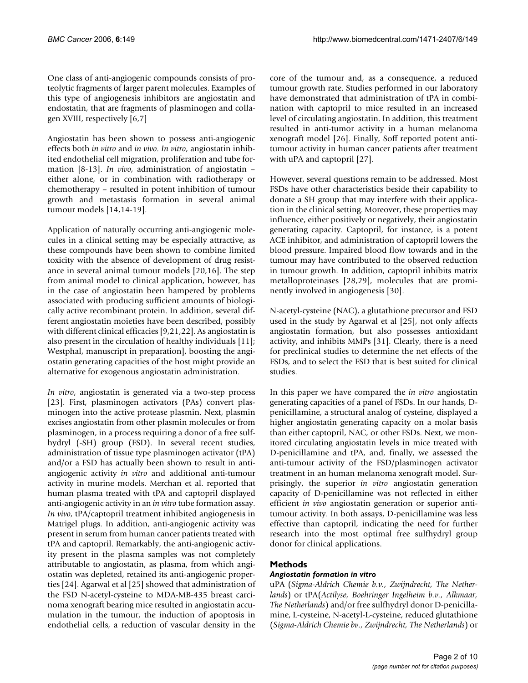One class of anti-angiogenic compounds consists of proteolytic fragments of larger parent molecules. Examples of this type of angiogenesis inhibitors are angiostatin and endostatin, that are fragments of plasminogen and collagen XVIII, respectively [6,7]

Angiostatin has been shown to possess anti-angiogenic effects both *in vitro* and *in vivo*. *In vitro*, angiostatin inhibited endothelial cell migration, proliferation and tube formation [8-13]. *In vivo*, administration of angiostatin – either alone, or in combination with radiotherapy or chemotherapy – resulted in potent inhibition of tumour growth and metastasis formation in several animal tumour models [14,14-19].

Application of naturally occurring anti-angiogenic molecules in a clinical setting may be especially attractive, as these compounds have been shown to combine limited toxicity with the absence of development of drug resistance in several animal tumour models [20,16]. The step from animal model to clinical application, however, has in the case of angiostatin been hampered by problems associated with producing sufficient amounts of biologically active recombinant protein. In addition, several different angiostatin moieties have been described, possibly with different clinical efficacies [9,21,22]. As angiostatin is also present in the circulation of healthy individuals [11]; Westphal, manuscript in preparation], boosting the angiostatin generating capacities of the host might provide an alternative for exogenous angiostatin administration.

*In vitro*, angiostatin is generated via a two-step process [23]. First, plasminogen activators (PAs) convert plasminogen into the active protease plasmin. Next, plasmin excises angiostatin from other plasmin molecules or from plasminogen, in a process requiring a donor of a free sulfhydryl (-SH) group (FSD). In several recent studies, administration of tissue type plasminogen activator (tPA) and/or a FSD has actually been shown to result in antiangiogenic activity *in vitro* and additional anti-tumour activity in murine models. Merchan et al. reported that human plasma treated with tPA and captopril displayed anti-angiogenic activity in an *in vitro* tube formation assay. *In vivo*, tPA/captopril treatment inhibited angiogenesis in Matrigel plugs. In addition, anti-angiogenic activity was present in serum from human cancer patients treated with tPA and captopril. Remarkably, the anti-angiogenic activity present in the plasma samples was not completely attributable to angiostatin, as plasma, from which angiostatin was depleted, retained its anti-angiogenic properties [24]. Agarwal et al [25] showed that administration of the FSD N-acetyl-cysteine to MDA-MB-435 breast carcinoma xenograft bearing mice resulted in angiostatin accumulation in the tumour, the induction of apoptosis in endothelial cells, a reduction of vascular density in the core of the tumour and, as a consequence, a reduced tumour growth rate. Studies performed in our laboratory have demonstrated that administration of tPA in combination with captopril to mice resulted in an increased level of circulating angiostatin. In addition, this treatment resulted in anti-tumor activity in a human melanoma xenograft model [26]. Finally, Soff reported potent antitumour activity in human cancer patients after treatment with uPA and captopril [27].

However, several questions remain to be addressed. Most FSDs have other characteristics beside their capability to donate a SH group that may interfere with their application in the clinical setting. Moreover, these properties may influence, either positively or negatively, their angiostatin generating capacity. Captopril, for instance, is a potent ACE inhibitor, and administration of captopril lowers the blood pressure. Impaired blood flow towards and in the tumour may have contributed to the observed reduction in tumour growth. In addition, captopril inhibits matrix metalloproteinases [28,29], molecules that are prominently involved in angiogenesis [30].

N-acetyl-cysteine (NAC), a glutathione precursor and FSD used in the study by Agarwal et al [25], not only affects angiostatin formation, but also possesses antioxidant activity, and inhibits MMPs [31]. Clearly, there is a need for preclinical studies to determine the net effects of the FSDs, and to select the FSD that is best suited for clinical studies.

In this paper we have compared the *in vitro* angiostatin generating capacities of a panel of FSDs. In our hands, Dpenicillamine, a structural analog of cysteine, displayed a higher angiostatin generating capacity on a molar basis than either captopril, NAC, or other FSDs. Next, we monitored circulating angiostatin levels in mice treated with D-penicillamine and tPA, and, finally, we assessed the anti-tumour activity of the FSD/plasminogen activator treatment in an human melanoma xenograft model. Surprisingly, the superior *in vitro* angiostatin generation capacity of D-penicillamine was not reflected in either efficient *in vivo* angiostatin generation or superior antitumour activity. In both assays, D-penicillamine was less effective than captopril, indicating the need for further research into the most optimal free sulfhydryl group donor for clinical applications.

# **Methods**

# *Angiostatin formation in vitro*

uPA (*Sigma-Aldrich Chemie b.v., Zwijndrecht, The Netherlands*) or tPA(*Actilyse, Boehringer Ingelheim b.v., Alkmaar, The Netherlands*) and/or free sulfhydryl donor D-penicillamine, L-cysteine, N-acetyl-L-cysteine, reduced glutathione (*Sigma-Aldrich Chemie bv., Zwijndrecht, The Netherlands*) or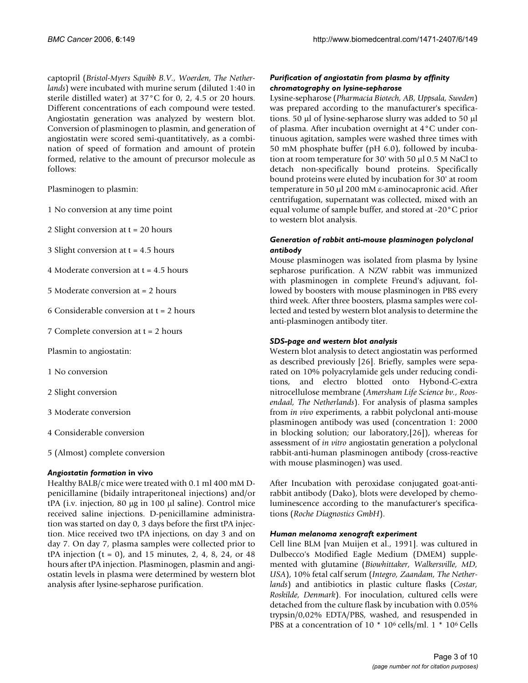captopril (*Bristol-Myers Squibb B.V., Woerden, The Netherlands*) were incubated with murine serum (diluted 1:40 in sterile distilled water) at 37°C for 0, 2, 4.5 or 20 hours. Different concentrations of each compound were tested. Angiostatin generation was analyzed by western blot. Conversion of plasminogen to plasmin, and generation of angiostatin were scored semi-quantitatively, as a combination of speed of formation and amount of protein formed, relative to the amount of precursor molecule as follows:

Plasminogen to plasmin:

1 No conversion at any time point

2 Slight conversion at t = 20 hours

3 Slight conversion at  $t = 4.5$  hours

4 Moderate conversion at t = 4.5 hours

5 Moderate conversion at = 2 hours

6 Considerable conversion at t = 2 hours

7 Complete conversion at t = 2 hours

Plasmin to angiostatin:

1 No conversion

2 Slight conversion

3 Moderate conversion

4 Considerable conversion

5 (Almost) complete conversion

#### *Angiostatin formation* **in vivo**

Healthy BALB/c mice were treated with 0.1 ml 400 mM Dpenicillamine (bidaily intraperitoneal injections) and/or tPA (i.v. injection, 80 µg in 100 µl saline). Control mice received saline injections. D-penicillamine administration was started on day 0, 3 days before the first tPA injection. Mice received two tPA injections, on day 3 and on day 7. On day 7, plasma samples were collected prior to tPA injection  $(t = 0)$ , and 15 minutes, 2, 4, 8, 24, or 48 hours after tPA injection. Plasminogen, plasmin and angiostatin levels in plasma were determined by western blot analysis after lysine-sepharose purification.

# *Purification of angiostatin from plasma by affinity chromatography on lysine-sepharose*

Lysine-sepharose (*Pharmacia Biotech, AB, Uppsala, Sweden*) was prepared according to the manufacturer's specifications. 50 µl of lysine-sepharose slurry was added to 50 µl of plasma. After incubation overnight at 4°C under continuous agitation, samples were washed three times with 50 mM phosphate buffer (pH 6.0), followed by incubation at room temperature for 30' with 50 µl 0.5 M NaCl to detach non-specifically bound proteins. Specifically bound proteins were eluted by incubation for 30' at room temperature in 50 µl 200 mM ε-aminocapronic acid. After centrifugation, supernatant was collected, mixed with an equal volume of sample buffer, and stored at -20°C prior to western blot analysis.

# *Generation of rabbit anti-mouse plasminogen polyclonal antibody*

Mouse plasminogen was isolated from plasma by lysine sepharose purification. A NZW rabbit was immunized with plasminogen in complete Freund's adjuvant, followed by boosters with mouse plasminogen in PBS every third week. After three boosters, plasma samples were collected and tested by western blot analysis to determine the anti-plasminogen antibody titer.

# *SDS-page and western blot analysis*

Western blot analysis to detect angiostatin was performed as described previously [26]. Briefly, samples were separated on 10% polyacrylamide gels under reducing conditions, and electro blotted onto Hybond-C-extra nitrocellulose membrane (*Amersham Life Science bv., Roosendaal, The Netherlands*). For analysis of plasma samples from *in vivo* experiments, a rabbit polyclonal anti-mouse plasminogen antibody was used (concentration 1: 2000 in blocking solution; our laboratory,[26]), whereas for assessment of *in vitro* angiostatin generation a polyclonal rabbit-anti-human plasminogen antibody (cross-reactive with mouse plasminogen) was used.

After Incubation with peroxidase conjugated goat-antirabbit antibody (Dako), blots were developed by chemoluminescence according to the manufacturer's specifications (*Roche Diagnostics GmbH*).

#### *Human melanoma xenograft experiment*

Cell line BLM [van Muijen et al., 1991]. was cultured in Dulbecco's Modified Eagle Medium (DMEM) supplemented with glutamine (*Biowhittaker, Walkersville, MD, USA*), 10% fetal calf serum (*Integro, Zaandam, The Netherlands*) and antibiotics in plastic culture flasks (*Costar, Roskilde, Denmark*). For inoculation, cultured cells were detached from the culture flask by incubation with 0.05% trypsin/0,02% EDTA/PBS, washed, and resuspended in PBS at a concentration of 10  $*$  10<sup>6</sup> cells/ml. 1  $*$  10<sup>6</sup> Cells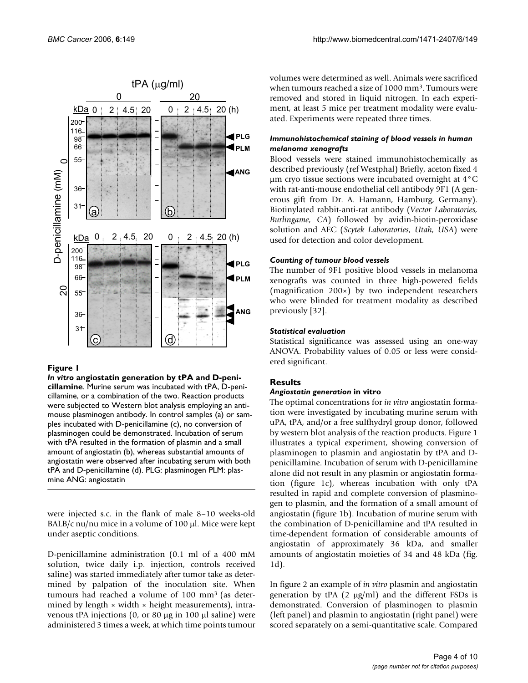

*In vitro* **angiostatin generation by tPA and D-penicillamine**. Murine serum was incubated with tPA, D-penicillamine, or a combination of the two. Reaction products were subjected to Western blot analysis employing an antimouse plasminogen antibody. In control samples (a) or samples incubated with D-penicillamine (c), no conversion of plasminogen could be demonstrated. Incubation of serum with tPA resulted in the formation of plasmin and a small amount of angiostatin (b), whereas substantial amounts of angiostatin were observed after incubating serum with both tPA and D-penicillamine (d). PLG: plasminogen PLM: plasmine ANG: angiostatin

were injected s.c. in the flank of male 8–10 weeks-old BALB/c nu/nu mice in a volume of 100  $\mu$ l. Mice were kept under aseptic conditions.

D-penicillamine administration (0.1 ml of a 400 mM solution, twice daily i.p. injection, controls received saline) was started immediately after tumor take as determined by palpation of the inoculation site. When tumours had reached a volume of 100 mm3 (as determined by length  $\times$  width  $\times$  height measurements), intravenous tPA injections  $(0, \text{ or } 80 \text{ µg in } 100 \text{ µl saline})$  were administered 3 times a week, at which time points tumour volumes were determined as well. Animals were sacrificed when tumours reached a size of 1000 mm3. Tumours were removed and stored in liquid nitrogen. In each experiment, at least 5 mice per treatment modality were evaluated. Experiments were repeated three times.

# *Immunohistochemical staining of blood vessels in human melanoma xenografts*

Blood vessels were stained immunohistochemically as described previously (ref Westphal) Briefly, aceton fixed 4 µm cryo tissue sections were incubated overnight at 4°C with rat-anti-mouse endothelial cell antibody 9F1 (A generous gift from Dr. A. Hamann, Hamburg, Germany). Biotinylated rabbit-anti-rat antibody (*Vector Laboratories, Burlingame, CA*) followed by avidin-biotin-peroxidase solution and AEC (*Scytek Laboratories, Utah, USA*) were used for detection and color development.

# *Counting of tumour blood vessels*

The number of 9F1 positive blood vessels in melanoma xenografts was counted in three high-powered fields (magnification 200×) by two independent researchers who were blinded for treatment modality as described previously [32].

# *Statistical evaluation*

Statistical significance was assessed using an one-way ANOVA. Probability values of 0.05 or less were considered significant.

# **Results**

#### *Angiostatin generation* **in vitro**

The optimal concentrations for *in vitro* angiostatin formation were investigated by incubating murine serum with uPA, tPA, and/or a free sulfhydryl group donor, followed by western blot analysis of the reaction products. Figure 1 illustrates a typical experiment, showing conversion of plasminogen to plasmin and angiostatin by tPA and Dpenicillamine. Incubation of serum with D-penicillamine alone did not result in any plasmin or angiostatin formation (figure 1c), whereas incubation with only tPA resulted in rapid and complete conversion of plasminogen to plasmin, and the formation of a small amount of angiostatin (figure 1b). Incubation of murine serum with the combination of D-penicillamine and tPA resulted in time-dependent formation of considerable amounts of angiostatin of approximately 36 kDa, and smaller amounts of angiostatin moieties of 34 and 48 kDa (fig. 1d).

In figure 2 an example of *in vitro* plasmin and angiostatin generation by  $tPA$  (2  $\mu g/ml$ ) and the different FSDs is demonstrated. Conversion of plasminogen to plasmin (left panel) and plasmin to angiostatin (right panel) were scored separately on a semi-quantitative scale. Compared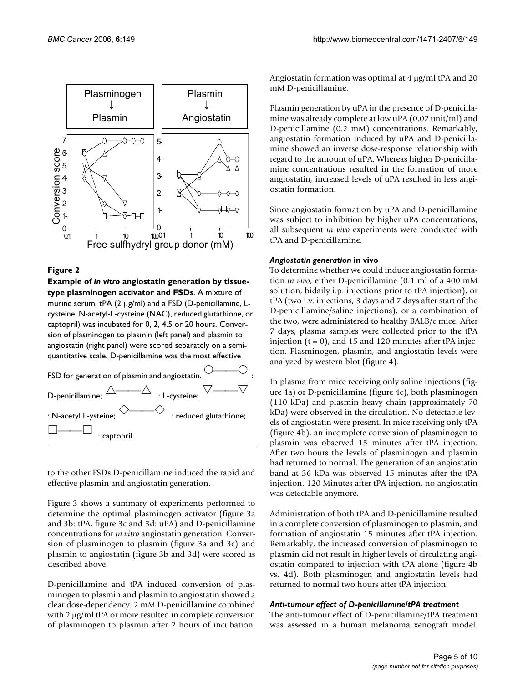

**Example of** *in vitro* **angiostatin generation by tissuetype plasminogen activator and FSDs**. A mixture of murine serum, tPA (2 µg/ml) and a FSD (D-penicillamine, Lcysteine, N-acetyl-L-cysteine (NAC), reduced glutathione, or captopril) was incubated for 0, 2, 4.5 or 20 hours. Conversion of plasminogen to plasmin (left panel) and plasmin to angiostatin (right panel) were scored separately on a semiquantitative scale. D-penicillamine was the most effective



to the other FSDs D-penicillamine induced the rapid and effective plasmin and angiostatin generation.

Figure 3 shows a summary of experiments performed to determine the optimal plasminogen activator (figure 3a and 3b: tPA, figure 3c and 3d: uPA) and D-penicillamine concentrations for *in vitro* angiostatin generation. Conversion of plasminogen to plasmin (figure 3a and 3c) and plasmin to angiostatin (figure 3b and 3d) were scored as described above.

D-penicillamine and tPA induced conversion of plasminogen to plasmin and plasmin to angiostatin showed a clear dose-dependency. 2 mM D-penicillamine combined with 2 μg/ml tPA or more resulted in complete conversion of plasminogen to plasmin after 2 hours of incubation.

Angiostatin formation was optimal at 4 µg/ml tPA and 20 mM D-penicillamine.

Plasmin generation by uPA in the presence of D-penicillamine was already complete at low uPA (0.02 unit/ml) and D-penicillamine (0.2 mM) concentrations. Remarkably, angiostatin formation induced by uPA and D-penicillamine showed an inverse dose-response relationship with regard to the amount of uPA. Whereas higher D-penicillamine concentrations resulted in the formation of more angiostatin, increased levels of uPA resulted in less angiostatin formation.

Since angiostatin formation by uPA and D-penicillamine was subject to inhibition by higher uPA concentrations, all subsequent *in vivo* experiments were conducted with tPA and D-penicillamine.

#### *Angiostatin generation* **in vivo**

To determine whether we could induce angiostatin formation *in vivo*, either D-penicillamine (0.1 ml of a 400 mM solution, bidaily i.p. injections prior to tPA injection), or tPA (two i.v. injections, 3 days and 7 days after start of the D-penicillamine/saline injections), or a combination of the two, were administered to healthy BALB/c mice. After 7 days, plasma samples were collected prior to the tPA injection  $(t = 0)$ , and 15 and 120 minutes after tPA injection. Plasminogen, plasmin, and angiostatin levels were analyzed by western blot (figure 4).

In plasma from mice receiving only saline injections (figure 4a) or D-penicillamine (figure 4c), both plasminogen (110 kDa) and plasmin heavy chain (approximately 70 kDa) were observed in the circulation. No detectable levels of angiostatin were present. In mice receiving only tPA (figure 4b), an incomplete conversion of plasminogen to plasmin was observed 15 minutes after tPA injection. After two hours the levels of plasminogen and plasmin had returned to normal. The generation of an angiostatin band at 36 kDa was observed 15 minutes after the tPA injection. 120 Minutes after tPA injection, no angiostatin was detectable anymore.

Administration of both tPA and D-penicillamine resulted in a complete conversion of plasminogen to plasmin, and formation of angiostatin 15 minutes after tPA injection. Remarkably, the increased conversion of plasminogen to plasmin did not result in higher levels of circulating angiostatin compared to injection with tPA alone (figure 4b vs. 4d). Both plasminogen and angiostatin levels had returned to normal two hours after tPA injection.

#### *Anti-tumour effect of D-penicillamine/tPA treatment*

The anti-tumour effect of D-penicillamine/tPA treatment was assessed in a human melanoma xenograft model.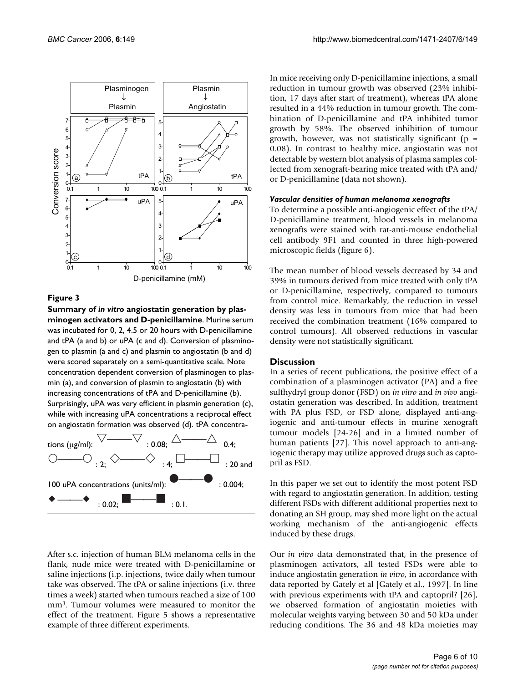

**Summary of** *in vitro* **angiostatin generation by plasminogen activators and D-penicillamine**. Murine serum was incubated for 0, 2, 4.5 or 20 hours with D-penicillamine and tPA (a and b) or uPA (c and d). Conversion of plasminogen to plasmin (a and c) and plasmin to angiostatin (b and d) were scored separately on a semi-quantitative scale. Note concentration dependent conversion of plasminogen to plasmin (a), and conversion of plasmin to angiostatin (b) with increasing concentrations of tPA and D-penicillamine (b). Surprisingly, uPA was very efficient in plasmin generation (c), while with increasing uPA concentrations a reciprocal effect on angiostatin formation was observed (d). tPA concentra-



After s.c. injection of human BLM melanoma cells in the flank, nude mice were treated with D-penicillamine or saline injections (i.p. injections, twice daily when tumour take was observed. The tPA or saline injections (i.v. three times a week) started when tumours reached a size of 100 mm3. Tumour volumes were measured to monitor the effect of the treatment. Figure 5 shows a representative example of three different experiments.

In mice receiving only D-penicillamine injections, a small reduction in tumour growth was observed (23% inhibition, 17 days after start of treatment), whereas tPA alone resulted in a 44% reduction in tumour growth. The combination of D-penicillamine and tPA inhibited tumor growth by 58%. The observed inhibition of tumour growth, however, was not statistically significant ( $p =$ 0.08). In contrast to healthy mice, angiostatin was not detectable by western blot analysis of plasma samples collected from xenograft-bearing mice treated with tPA and/ or D-penicillamine (data not shown).

#### *Vascular densities of human melanoma xenografts*

To determine a possible anti-angiogenic effect of the tPA/ D-penicillamine treatment, blood vessels in melanoma xenografts were stained with rat-anti-mouse endothelial cell antibody 9F1 and counted in three high-powered microscopic fields (figure 6).

The mean number of blood vessels decreased by 34 and 39% in tumours derived from mice treated with only tPA or D-penicillamine, respectively, compared to tumours from control mice. Remarkably, the reduction in vessel density was less in tumours from mice that had been received the combination treatment (16% compared to control tumours). All observed reductions in vascular density were not statistically significant.

#### **Discussion**

In a series of recent publications, the positive effect of a combination of a plasminogen activator (PA) and a free sulfhydryl group donor (FSD) on *in vitro* and *in vivo* angiostatin generation was described. In addition, treatment with PA plus FSD, or FSD alone, displayed anti-angiogenic and anti-tumour effects in murine xenograft tumour models [24-26] and in a limited number of human patients [27]. This novel approach to anti-angiogenic therapy may utilize approved drugs such as captopril as FSD.

In this paper we set out to identify the most potent FSD with regard to angiostatin generation. In addition, testing different FSDs with different additional properties next to donating an SH group, may shed more light on the actual working mechanism of the anti-angiogenic effects induced by these drugs.

Our *in vitro* data demonstrated that, in the presence of plasminogen activators, all tested FSDs were able to induce angiostatin generation *in vitro*, in accordance with data reported by Gately et al [Gately et al., 1997]. In line with previous experiments with tPA and captopril? [26], we observed formation of angiostatin moieties with molecular weights varying between 30 and 50 kDa under reducing conditions. The 36 and 48 kDa moieties may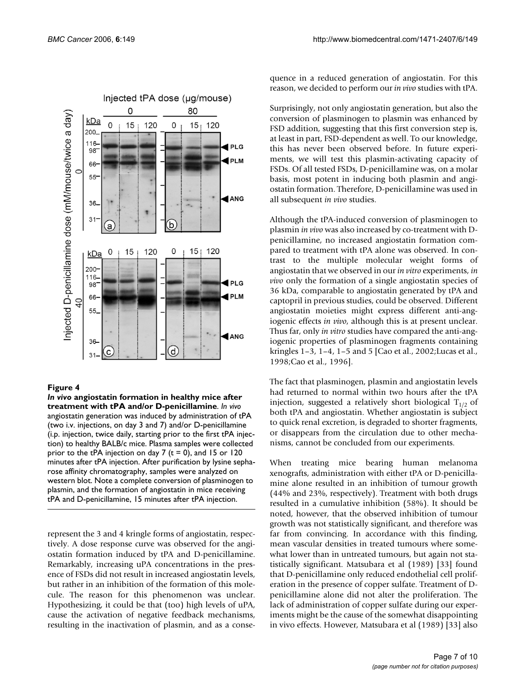

*In vivo* **angiostatin formation in healthy mice after treatment with tPA and/or D-penicillamine**. *In vivo*  angiostatin generation was induced by administration of tPA (two i.v. injections, on day 3 and 7) and/or D-penicillamine (i.p. injection, twice daily, starting prior to the first tPA injection) to healthy BALB/c mice. Plasma samples were collected prior to the tPA injection on day  $7$  ( $t = 0$ ), and 15 or 120 minutes after tPA injection. After purification by lysine sepharose affinity chromatography, samples were analyzed on western blot. Note a complete conversion of plasminogen to plasmin, and the formation of angiostatin in mice receiving tPA and D-penicillamine, 15 minutes after tPA injection.

represent the 3 and 4 kringle forms of angiostatin, respectively. A dose response curve was observed for the angiostatin formation induced by tPA and D-penicillamine. Remarkably, increasing uPA concentrations in the presence of FSDs did not result in increased angiostatin levels, but rather in an inhibition of the formation of this molecule. The reason for this phenomenon was unclear. Hypothesizing, it could be that (too) high levels of uPA, cause the activation of negative feedback mechanisms, resulting in the inactivation of plasmin, and as a consequence in a reduced generation of angiostatin. For this reason, we decided to perform our *in vivo* studies with tPA.

Surprisingly, not only angiostatin generation, but also the conversion of plasminogen to plasmin was enhanced by FSD addition, suggesting that this first conversion step is, at least in part, FSD-dependent as well. To our knowledge, this has never been observed before. In future experiments, we will test this plasmin-activating capacity of FSDs. Of all tested FSDs, D-penicillamine was, on a molar basis, most potent in inducing both plasmin and angiostatin formation. Therefore, D-penicillamine was used in all subsequent *in vivo* studies.

Although the tPA-induced conversion of plasminogen to plasmin *in vivo* was also increased by co-treatment with Dpenicillamine, no increased angiostatin formation compared to treatment with tPA alone was observed. In contrast to the multiple molecular weight forms of angiostatin that we observed in our *in vitro* experiments, *in vivo* only the formation of a single angiostatin species of 36 kDa, comparable to angiostatin generated by tPA and captopril in previous studies, could be observed. Different angiostatin moieties might express different anti-angiogenic effects *in vivo*, although this is at present unclear. Thus far, only *in vitro* studies have compared the anti-angiogenic properties of plasminogen fragments containing kringles 1–3, 1–4, 1–5 and 5 [Cao et al., 2002;Lucas et al., 1998;Cao et al., 1996].

The fact that plasminogen, plasmin and angiostatin levels had returned to normal within two hours after the tPA injection, suggested a relatively short biological  $T_{1/2}$  of both tPA and angiostatin. Whether angiostatin is subject to quick renal excretion, is degraded to shorter fragments, or disappears from the circulation due to other mechanisms, cannot be concluded from our experiments.

When treating mice bearing human melanoma xenografts, administration with either tPA or D-penicillamine alone resulted in an inhibition of tumour growth (44% and 23%, respectively). Treatment with both drugs resulted in a cumulative inhibition (58%). It should be noted, however, that the observed inhibition of tumour growth was not statistically significant, and therefore was far from convincing. In accordance with this finding, mean vascular densities in treated tumours where somewhat lower than in untreated tumours, but again not statistically significant. Matsubara et al (1989) [33] found that D-penicillamine only reduced endothelial cell proliferation in the presence of copper sulfate. Treatment of Dpenicillamine alone did not alter the proliferation. The lack of administration of copper sulfate during our experiments might be the cause of the somewhat disappointing in vivo effects. However, Matsubara et al (1989) [33] also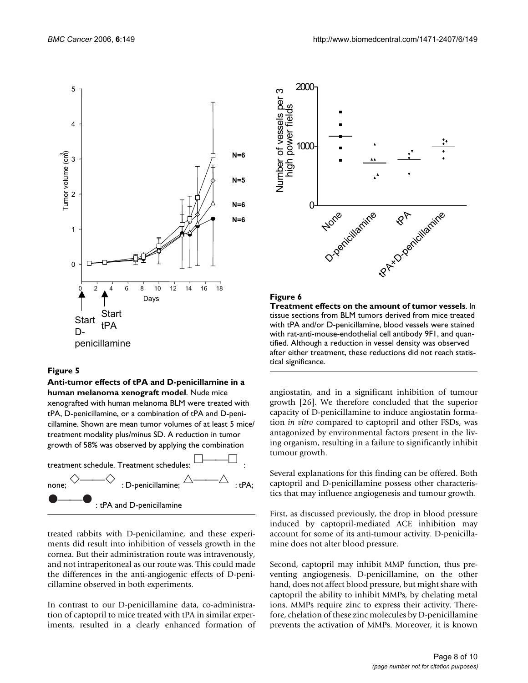

**Anti-tumor effects of tPA and D-penicillamine in a human melanoma xenograft model**. Nude mice xenografted with human melanoma BLM were treated with tPA, D-penicillamine, or a combination of tPA and D-penicillamine. Shown are mean tumor volumes of at least 5 mice/ treatment modality plus/minus SD. A reduction in tumor growth of 58% was observed by applying the combination



treated rabbits with D-penicilamine, and these experiments did result into inhibition of vessels growth in the cornea. But their administration route was intravenously, and not intraperitoneal as our route was. This could made the differences in the anti-angiogenic effects of D-penicillamine observed in both experiments.

In contrast to our D-penicillamine data, co-administration of captopril to mice treated with tPA in similar experiments, resulted in a clearly enhanced formation of



# Figure 6

**Treatment effects on the amount of tumor vessels**. In tissue sections from BLM tumors derived from mice treated with tPA and/or D-penicillamine, blood vessels were stained with rat-anti-mouse-endothelial cell antibody 9F1, and quantified. Although a reduction in vessel density was observed after either treatment, these reductions did not reach statistical significance.

angiostatin, and in a significant inhibition of tumour growth [26]. We therefore concluded that the superior capacity of D-penicillamine to induce angiostatin formation *in vitro* compared to captopril and other FSDs, was antagonized by environmental factors present in the living organism, resulting in a failure to significantly inhibit tumour growth.

Several explanations for this finding can be offered. Both captopril and D-penicillamine possess other characteristics that may influence angiogenesis and tumour growth.

First, as discussed previously, the drop in blood pressure induced by captopril-mediated ACE inhibition may account for some of its anti-tumour activity. D-penicillamine does not alter blood pressure.

Second, captopril may inhibit MMP function, thus preventing angiogenesis. D-penicillamine, on the other hand, does not affect blood pressure, but might share with captopril the ability to inhibit MMPs, by chelating metal ions. MMPs require zinc to express their activity. Therefore, chelation of these zinc molecules by D-penicillamine prevents the activation of MMPs. Moreover, it is known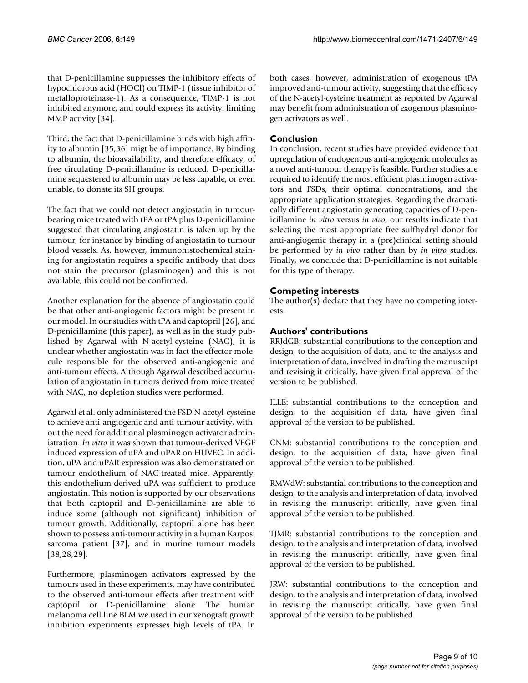that D-penicillamine suppresses the inhibitory effects of hypochlorous acid (HOCl) on TIMP-1 (tissue inhibitor of metalloproteinase-1). As a consequence, TIMP-1 is not inhibited anymore, and could express its activity: limiting MMP activity [34].

Third, the fact that D-penicillamine binds with high affinity to albumin [35,36] migt be of importance. By binding to albumin, the bioavailability, and therefore efficacy, of free circulating D-penicillamine is reduced. D-penicillamine sequestered to albumin may be less capable, or even unable, to donate its SH groups.

The fact that we could not detect angiostatin in tumourbearing mice treated with tPA or tPA plus D-penicillamine suggested that circulating angiostatin is taken up by the tumour, for instance by binding of angiostatin to tumour blood vessels. As, however, immunohistochemical staining for angiostatin requires a specific antibody that does not stain the precursor (plasminogen) and this is not available, this could not be confirmed.

Another explanation for the absence of angiostatin could be that other anti-angiogenic factors might be present in our model. In our studies with tPA and captopril [26], and D-penicillamine (this paper), as well as in the study published by Agarwal with N-acetyl-cysteine (NAC), it is unclear whether angiostatin was in fact the effector molecule responsible for the observed anti-angiogenic and anti-tumour effects. Although Agarwal described accumulation of angiostatin in tumors derived from mice treated with NAC, no depletion studies were performed.

Agarwal et al. only administered the FSD N-acetyl-cysteine to achieve anti-angiogenic and anti-tumour activity, without the need for additional plasminogen activator administration. *In vitro* it was shown that tumour-derived VEGF induced expression of uPA and uPAR on HUVEC. In addition, uPA and uPAR expression was also demonstrated on tumour endothelium of NAC-treated mice. Apparently, this endothelium-derived uPA was sufficient to produce angiostatin. This notion is supported by our observations that both captopril and D-penicillamine are able to induce some (although not significant) inhibition of tumour growth. Additionally, captopril alone has been shown to possess anti-tumour activity in a human Karposi sarcoma patient [37], and in murine tumour models [38,28,29].

Furthermore, plasminogen activators expressed by the tumours used in these experiments, may have contributed to the observed anti-tumour effects after treatment with captopril or D-penicillamine alone. The human melanoma cell line BLM we used in our xenograft growth inhibition experiments expresses high levels of tPA. In

both cases, however, administration of exogenous tPA improved anti-tumour activity, suggesting that the efficacy of the N-acetyl-cysteine treatment as reported by Agarwal may benefit from administration of exogenous plasminogen activators as well.

# **Conclusion**

In conclusion, recent studies have provided evidence that upregulation of endogenous anti-angiogenic molecules as a novel anti-tumour therapy is feasible. Further studies are required to identify the most efficient plasminogen activators and FSDs, their optimal concentrations, and the appropriate application strategies. Regarding the dramatically different angiostatin generating capacities of D-penicillamine *in vitro* versus *in vivo*, our results indicate that selecting the most appropriate free sulfhydryl donor for anti-angiogenic therapy in a (pre)clinical setting should be performed by *in vivo* rather than by *in vitro* studies. Finally, we conclude that D-penicillamine is not suitable for this type of therapy.

# **Competing interests**

The author(s) declare that they have no competing interests.

# **Authors' contributions**

RRJdGB: substantial contributions to the conception and design, to the acquisition of data, and to the analysis and interpretation of data, involved in drafting the manuscript and revising it critically, have given final approval of the version to be published.

ILLE: substantial contributions to the conception and design, to the acquisition of data, have given final approval of the version to be published.

CNM: substantial contributions to the conception and design, to the acquisition of data, have given final approval of the version to be published.

RMWdW: substantial contributions to the conception and design, to the analysis and interpretation of data, involved in revising the manuscript critically, have given final approval of the version to be published.

TJMR: substantial contributions to the conception and design, to the analysis and interpretation of data, involved in revising the manuscript critically, have given final approval of the version to be published.

JRW: substantial contributions to the conception and design, to the analysis and interpretation of data, involved in revising the manuscript critically, have given final approval of the version to be published.